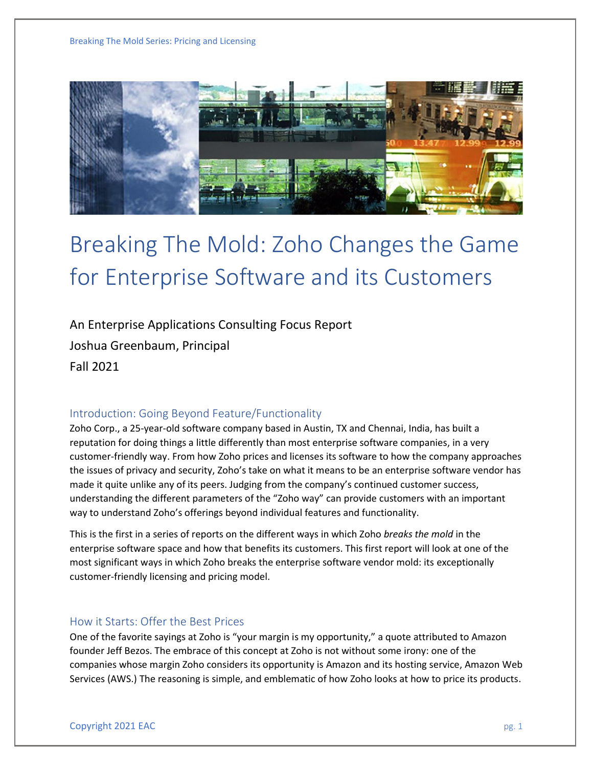

# Breaking The Mold: Zoho Changes the Game for Enterprise Software and its Customers

An Enterprise Applications Consulting Focus Report Joshua Greenbaum, Principal Fall 2021

# Introduction: Going Beyond Feature/Functionality

Zoho Corp., a 25-year-old software company based in Austin, TX and Chennai, India, has built a reputation for doing things a little differently than most enterprise software companies, in a very customer-friendly way. From how Zoho prices and licenses its software to how the company approaches the issues of privacy and security, Zoho's take on what it means to be an enterprise software vendor has made it quite unlike any of its peers. Judging from the company's continued customer success, understanding the different parameters of the "Zoho way" can provide customers with an important way to understand Zoho's offerings beyond individual features and functionality.

This is the first in a series of reports on the different ways in which Zoho *breaks the mold* in the enterprise software space and how that benefits its customers. This first report will look at one of the most significant ways in which Zoho breaks the enterprise software vendor mold: its exceptionally customer-friendly licensing and pricing model.

# How it Starts: Offer the Best Prices

One of the favorite sayings at Zoho is "your margin is my opportunity," a quote attributed to Amazon founder Jeff Bezos. The embrace of this concept at Zoho is not without some irony: one of the companies whose margin Zoho considers its opportunity is Amazon and its hosting service, Amazon Web Services (AWS.) The reasoning is simple, and emblematic of how Zoho looks at how to price its products.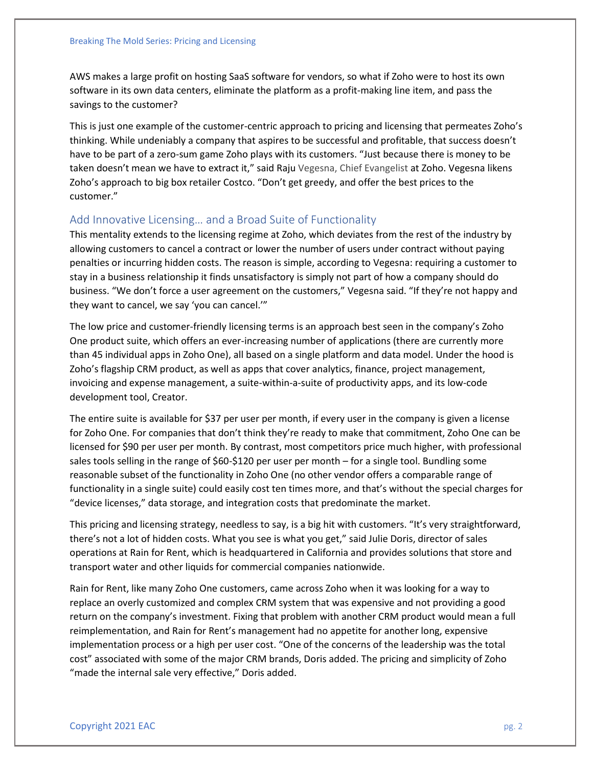AWS makes a large profit on hosting SaaS software for vendors, so what if Zoho were to host its own software in its own data centers, eliminate the platform as a profit-making line item, and pass the savings to the customer?

This is just one example of the customer-centric approach to pricing and licensing that permeates Zoho's thinking. While undeniably a company that aspires to be successful and profitable, that success doesn't have to be part of a zero-sum game Zoho plays with its customers. "Just because there is money to be taken doesn't mean we have to extract it," said Raju Vegesna, Chief Evangelist at Zoho. Vegesna likens Zoho's approach to big box retailer Costco. "Don't get greedy, and offer the best prices to the customer."

### Add Innovative Licensing… and a Broad Suite of Functionality

This mentality extends to the licensing regime at Zoho, which deviates from the rest of the industry by allowing customers to cancel a contract or lower the number of users under contract without paying penalties or incurring hidden costs. The reason is simple, according to Vegesna: requiring a customer to stay in a business relationship it finds unsatisfactory is simply not part of how a company should do business. "We don't force a user agreement on the customers," Vegesna said. "If they're not happy and they want to cancel, we say 'you can cancel.'"

The low price and customer-friendly licensing terms is an approach best seen in the company's Zoho One product suite, which offers an ever-increasing number of applications (there are currently more than 45 individual apps in Zoho One), all based on a single platform and data model. Under the hood is Zoho's flagship CRM product, as well as apps that cover analytics, finance, project management, invoicing and expense management, a suite-within-a-suite of productivity apps, and its low-code development tool, Creator.

The entire suite is available for \$37 per user per month, if every user in the company is given a license for Zoho One. For companies that don't think they're ready to make that commitment, Zoho One can be licensed for \$90 per user per month. By contrast, most competitors price much higher, with professional sales tools selling in the range of \$60-\$120 per user per month – for a single tool. Bundling some reasonable subset of the functionality in Zoho One (no other vendor offers a comparable range of functionality in a single suite) could easily cost ten times more, and that's without the special charges for "device licenses," data storage, and integration costs that predominate the market.

This pricing and licensing strategy, needless to say, is a big hit with customers. "It's very straightforward, there's not a lot of hidden costs. What you see is what you get," said Julie Doris, director of sales operations at Rain for Rent, which is headquartered in California and provides solutions that store and transport water and other liquids for commercial companies nationwide.

Rain for Rent, like many Zoho One customers, came across Zoho when it was looking for a way to replace an overly customized and complex CRM system that was expensive and not providing a good return on the company's investment. Fixing that problem with another CRM product would mean a full reimplementation, and Rain for Rent's management had no appetite for another long, expensive implementation process or a high per user cost. "One of the concerns of the leadership was the total cost" associated with some of the major CRM brands, Doris added. The pricing and simplicity of Zoho "made the internal sale very effective," Doris added.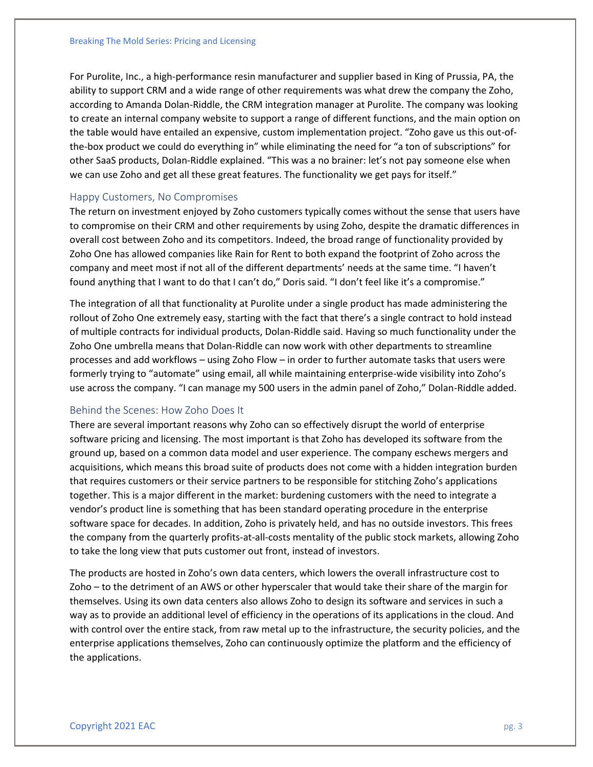For Purolite, Inc., a high-performance resin manufacturer and supplier based in King of Prussia, PA, the ability to support CRM and a wide range of other requirements was what drew the company the Zoho, according to Amanda Dolan-Riddle, the CRM integration manager at Purolite. The company was looking to create an internal company website to support a range of different functions, and the main option on the table would have entailed an expensive, custom implementation project. "Zoho gave us this out-ofthe-box product we could do everything in" while eliminating the need for "a ton of subscriptions" for other SaaS products, Dolan-Riddle explained. "This was a no brainer: let's not pay someone else when we can use Zoho and get all these great features. The functionality we get pays for itself."

#### Happy Customers, No Compromises

The return on investment enjoyed by Zoho customers typically comes without the sense that users have to compromise on their CRM and other requirements by using Zoho, despite the dramatic differences in overall cost between Zoho and its competitors. Indeed, the broad range of functionality provided by Zoho One has allowed companies like Rain for Rent to both expand the footprint of Zoho across the company and meet most if not all of the different departments' needs at the same time. "I haven't found anything that I want to do that I can't do," Doris said. "I don't feel like it's a compromise."

The integration of all that functionality at Purolite under a single product has made administering the rollout of Zoho One extremely easy, starting with the fact that there's a single contract to hold instead of multiple contracts for individual products, Dolan-Riddle said. Having so much functionality under the Zoho One umbrella means that Dolan-Riddle can now work with other departments to streamline processes and add workflows – using Zoho Flow – in order to further automate tasks that users were formerly trying to "automate" using email, all while maintaining enterprise-wide visibility into Zoho's use across the company. "I can manage my 500 users in the admin panel of Zoho," Dolan-Riddle added.

### Behind the Scenes: How Zoho Does It

There are several important reasons why Zoho can so effectively disrupt the world of enterprise software pricing and licensing. The most important is that Zoho has developed its software from the ground up, based on a common data model and user experience. The company eschews mergers and acquisitions, which means this broad suite of products does not come with a hidden integration burden that requires customers or their service partners to be responsible for stitching Zoho's applications together. This is a major different in the market: burdening customers with the need to integrate a vendor's product line is something that has been standard operating procedure in the enterprise software space for decades. In addition, Zoho is privately held, and has no outside investors. This frees the company from the quarterly profits-at-all-costs mentality of the public stock markets, allowing Zoho to take the long view that puts customer out front, instead of investors.

The products are hosted in Zoho's own data centers, which lowers the overall infrastructure cost to Zoho – to the detriment of an AWS or other hyperscaler that would take their share of the margin for themselves. Using its own data centers also allows Zoho to design its software and services in such a way as to provide an additional level of efficiency in the operations of its applications in the cloud. And with control over the entire stack, from raw metal up to the infrastructure, the security policies, and the enterprise applications themselves, Zoho can continuously optimize the platform and the efficiency of the applications.